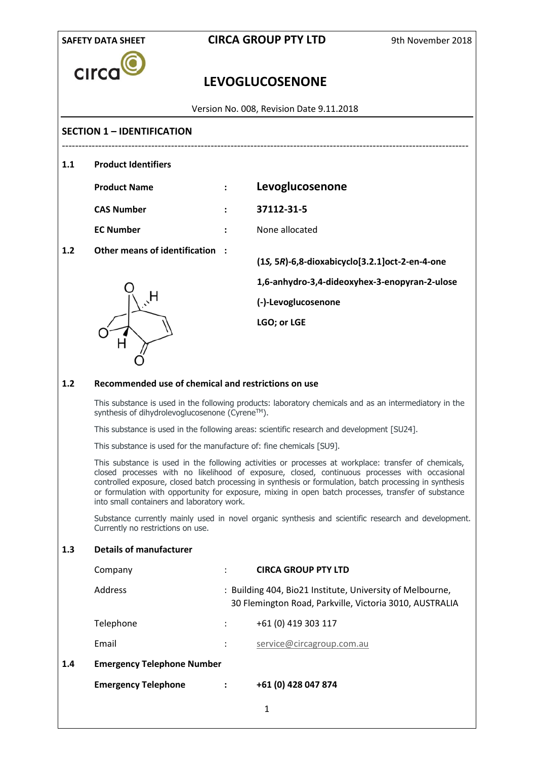| <b>SAFETY DATA SHEET</b> |                                                                                                                                                                                                                                                                                                                                                                                                                                                                       |   | <b>CIRCA GROUP PTY LTD</b>                                                                                           | 9th November 2018 |
|--------------------------|-----------------------------------------------------------------------------------------------------------------------------------------------------------------------------------------------------------------------------------------------------------------------------------------------------------------------------------------------------------------------------------------------------------------------------------------------------------------------|---|----------------------------------------------------------------------------------------------------------------------|-------------------|
| <b>CIrC</b>              |                                                                                                                                                                                                                                                                                                                                                                                                                                                                       |   | <b>LEVOGLUCOSENONE</b>                                                                                               |                   |
|                          |                                                                                                                                                                                                                                                                                                                                                                                                                                                                       |   | Version No. 008, Revision Date 9.11.2018                                                                             |                   |
|                          | <b>SECTION 1 - IDENTIFICATION</b>                                                                                                                                                                                                                                                                                                                                                                                                                                     |   |                                                                                                                      |                   |
| 1.1                      | <b>Product Identifiers</b>                                                                                                                                                                                                                                                                                                                                                                                                                                            |   |                                                                                                                      |                   |
|                          | <b>Product Name</b>                                                                                                                                                                                                                                                                                                                                                                                                                                                   |   | Levoglucosenone                                                                                                      |                   |
|                          | <b>CAS Number</b>                                                                                                                                                                                                                                                                                                                                                                                                                                                     |   | 37112-31-5                                                                                                           |                   |
|                          | <b>EC Number</b>                                                                                                                                                                                                                                                                                                                                                                                                                                                      |   | None allocated                                                                                                       |                   |
| 1.2                      | <b>Other means of identification</b>                                                                                                                                                                                                                                                                                                                                                                                                                                  |   | (1S, 5R)-6,8-dioxabicyclo[3.2.1]oct-2-en-4-one                                                                       |                   |
|                          |                                                                                                                                                                                                                                                                                                                                                                                                                                                                       |   | 1,6-anhydro-3,4-dideoxyhex-3-enopyran-2-ulose                                                                        |                   |
|                          |                                                                                                                                                                                                                                                                                                                                                                                                                                                                       |   | (-)-Levoglucosenone                                                                                                  |                   |
|                          |                                                                                                                                                                                                                                                                                                                                                                                                                                                                       |   | LGO; or LGE                                                                                                          |                   |
| 1.2                      | Recommended use of chemical and restrictions on use                                                                                                                                                                                                                                                                                                                                                                                                                   |   |                                                                                                                      |                   |
|                          | synthesis of dihydrolevoglucosenone (Cyrene™).                                                                                                                                                                                                                                                                                                                                                                                                                        |   | This substance is used in the following products: laboratory chemicals and as an intermediatory in the               |                   |
|                          |                                                                                                                                                                                                                                                                                                                                                                                                                                                                       |   | This substance is used in the following areas: scientific research and development [SU24].                           |                   |
|                          | This substance is used for the manufacture of: fine chemicals [SU9].                                                                                                                                                                                                                                                                                                                                                                                                  |   |                                                                                                                      |                   |
|                          | This substance is used in the following activities or processes at workplace: transfer of chemicals,<br>closed processes with no likelihood of exposure, closed, continuous processes with occasional<br>controlled exposure, closed batch processing in synthesis or formulation, batch processing in synthesis<br>or formulation with opportunity for exposure, mixing in open batch processes, transfer of substance<br>into small containers and laboratory work. |   |                                                                                                                      |                   |
|                          | Currently no restrictions on use.                                                                                                                                                                                                                                                                                                                                                                                                                                     |   | Substance currently mainly used in novel organic synthesis and scientific research and development.                  |                   |
| 1.3                      | <b>Details of manufacturer</b>                                                                                                                                                                                                                                                                                                                                                                                                                                        |   |                                                                                                                      |                   |
|                          | Company                                                                                                                                                                                                                                                                                                                                                                                                                                                               | ÷ | <b>CIRCA GROUP PTY LTD</b>                                                                                           |                   |
|                          | Address                                                                                                                                                                                                                                                                                                                                                                                                                                                               |   | : Building 404, Bio21 Institute, University of Melbourne,<br>30 Flemington Road, Parkville, Victoria 3010, AUSTRALIA |                   |
|                          | Telephone                                                                                                                                                                                                                                                                                                                                                                                                                                                             |   | +61 (0) 419 303 117                                                                                                  |                   |
|                          | Email                                                                                                                                                                                                                                                                                                                                                                                                                                                                 |   | service@circagroup.com.au                                                                                            |                   |
| 1.4                      | <b>Emergency Telephone Number</b>                                                                                                                                                                                                                                                                                                                                                                                                                                     |   |                                                                                                                      |                   |
|                          | <b>Emergency Telephone</b>                                                                                                                                                                                                                                                                                                                                                                                                                                            |   | +61 (0) 428 047 874                                                                                                  |                   |
|                          |                                                                                                                                                                                                                                                                                                                                                                                                                                                                       |   | $\mathbf{1}$                                                                                                         |                   |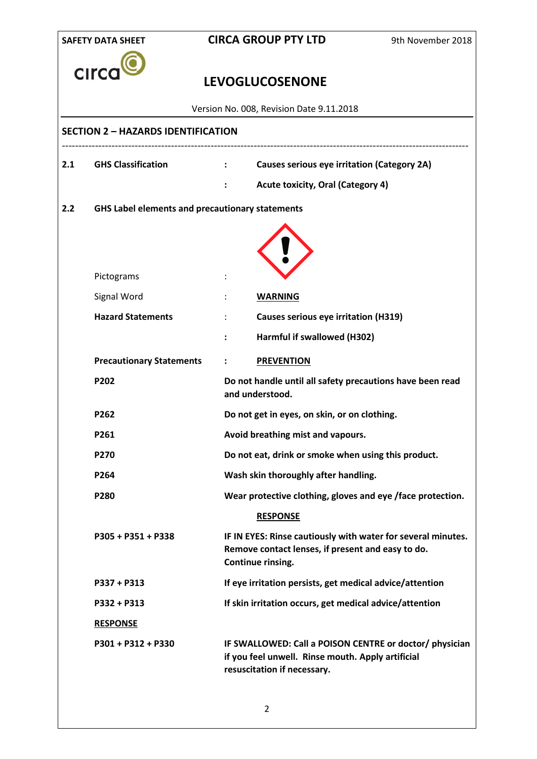| <b>SAFETY DATA SHEET</b> |                                                        |                | <b>CIRCA GROUP PTY LTD</b><br>9th November 2018                                                                                             |  |
|--------------------------|--------------------------------------------------------|----------------|---------------------------------------------------------------------------------------------------------------------------------------------|--|
| Circ                     |                                                        |                | <b>LEVOGLUCOSENONE</b>                                                                                                                      |  |
|                          |                                                        |                | Version No. 008, Revision Date 9.11.2018                                                                                                    |  |
|                          | <b>SECTION 2 - HAZARDS IDENTIFICATION</b>              |                |                                                                                                                                             |  |
| 2.1                      | <b>GHS Classification</b>                              | $\mathbf{1}$   | Causes serious eye irritation (Category 2A)                                                                                                 |  |
|                          |                                                        | $\ddot{\cdot}$ | <b>Acute toxicity, Oral (Category 4)</b>                                                                                                    |  |
| 2.2                      | <b>GHS Label elements and precautionary statements</b> |                |                                                                                                                                             |  |
|                          |                                                        |                |                                                                                                                                             |  |
|                          | Pictograms                                             |                |                                                                                                                                             |  |
|                          | Signal Word                                            |                | <b>WARNING</b>                                                                                                                              |  |
|                          | <b>Hazard Statements</b>                               |                | <b>Causes serious eye irritation (H319)</b>                                                                                                 |  |
|                          |                                                        | :              | Harmful if swallowed (H302)                                                                                                                 |  |
|                          | <b>Precautionary Statements</b>                        |                | <b>PREVENTION</b>                                                                                                                           |  |
|                          | P202                                                   |                | Do not handle until all safety precautions have been read<br>and understood.                                                                |  |
|                          | P262                                                   |                | Do not get in eyes, on skin, or on clothing.                                                                                                |  |
|                          | P261                                                   |                | Avoid breathing mist and vapours.                                                                                                           |  |
|                          | P270                                                   |                | Do not eat, drink or smoke when using this product.                                                                                         |  |
|                          | P264                                                   |                | Wash skin thoroughly after handling.                                                                                                        |  |
|                          | P280                                                   |                | Wear protective clothing, gloves and eye /face protection.                                                                                  |  |
|                          |                                                        |                | <b>RESPONSE</b>                                                                                                                             |  |
|                          | P305 + P351 + P338                                     |                | IF IN EYES: Rinse cautiously with water for several minutes.<br>Remove contact lenses, if present and easy to do.<br>Continue rinsing.      |  |
|                          | $P337 + P313$                                          |                | If eye irritation persists, get medical advice/attention                                                                                    |  |
|                          | P332 + P313                                            |                | If skin irritation occurs, get medical advice/attention                                                                                     |  |
|                          | <b>RESPONSE</b>                                        |                |                                                                                                                                             |  |
|                          | P301 + P312 + P330                                     |                | IF SWALLOWED: Call a POISON CENTRE or doctor/ physician<br>if you feel unwell. Rinse mouth. Apply artificial<br>resuscitation if necessary. |  |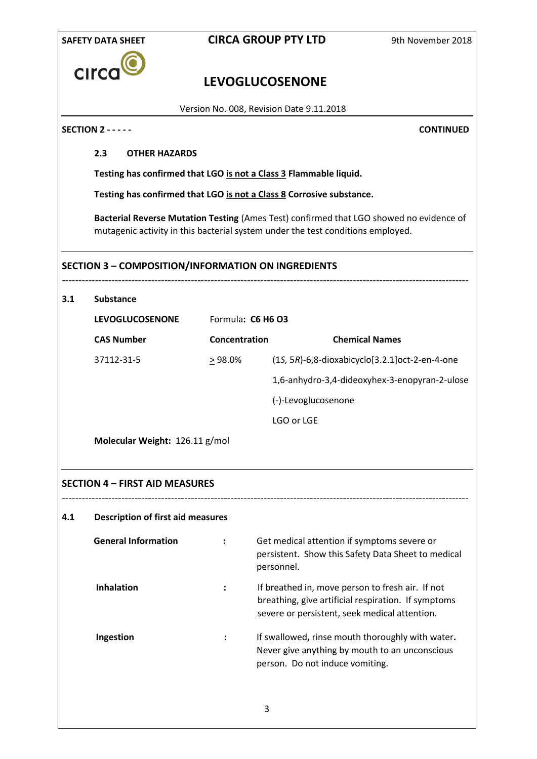|     | <b>SAFETY DATA SHEET</b>                                  |               | <b>CIRCA GROUP PTY LTD</b>                                                                                                                                                 | 9th November 2018                                     |
|-----|-----------------------------------------------------------|---------------|----------------------------------------------------------------------------------------------------------------------------------------------------------------------------|-------------------------------------------------------|
|     | CIrco                                                     |               | <b>LEVOGLUCOSENONE</b>                                                                                                                                                     |                                                       |
|     |                                                           |               | Version No. 008, Revision Date 9.11.2018                                                                                                                                   |                                                       |
|     | <b>SECTION 2 - - - - -</b>                                |               |                                                                                                                                                                            | <b>CONTINUED</b>                                      |
|     | 2.3<br><b>OTHER HAZARDS</b>                               |               |                                                                                                                                                                            |                                                       |
|     |                                                           |               | Testing has confirmed that LGO is not a Class 3 Flammable liquid.                                                                                                          |                                                       |
|     |                                                           |               | Testing has confirmed that LGO is not a Class 8 Corrosive substance.                                                                                                       |                                                       |
|     |                                                           |               | Bacterial Reverse Mutation Testing (Ames Test) confirmed that LGO showed no evidence of<br>mutagenic activity in this bacterial system under the test conditions employed. |                                                       |
|     | <b>SECTION 3 - COMPOSITION/INFORMATION ON INGREDIENTS</b> |               |                                                                                                                                                                            |                                                       |
| 3.1 | <b>Substance</b>                                          |               |                                                                                                                                                                            |                                                       |
|     | <b>LEVOGLUCOSENONE</b>                                    |               | Formula: C6 H6 O3                                                                                                                                                          |                                                       |
|     | <b>CAS Number</b>                                         | Concentration |                                                                                                                                                                            | <b>Chemical Names</b>                                 |
|     | 37112-31-5                                                | $>98.0\%$     |                                                                                                                                                                            | $(1S, 5R)$ -6,8-dioxabicyclo $[3.2.1]$ oct-2-en-4-one |
|     |                                                           |               |                                                                                                                                                                            | 1,6-anhydro-3,4-dideoxyhex-3-enopyran-2-ulose         |
|     |                                                           |               | (-)-Levoglucosenone                                                                                                                                                        |                                                       |
|     |                                                           |               | LGO or LGE                                                                                                                                                                 |                                                       |
|     | Molecular Weight: 126.11 g/mol                            |               |                                                                                                                                                                            |                                                       |
|     | <b>SECTION 4 - FIRST AID MEASURES</b>                     |               |                                                                                                                                                                            |                                                       |
| 4.1 | <b>Description of first aid measures</b>                  |               |                                                                                                                                                                            |                                                       |
|     | <b>General Information</b>                                |               | Get medical attention if symptoms severe or<br>persistent. Show this Safety Data Sheet to medical<br>personnel.                                                            |                                                       |
|     | <b>Inhalation</b>                                         |               | If breathed in, move person to fresh air. If not<br>breathing, give artificial respiration. If symptoms<br>severe or persistent, seek medical attention.                   |                                                       |
|     | Ingestion                                                 |               | If swallowed, rinse mouth thoroughly with water.<br>Never give anything by mouth to an unconscious<br>person. Do not induce vomiting.                                      |                                                       |
|     |                                                           |               | 3                                                                                                                                                                          |                                                       |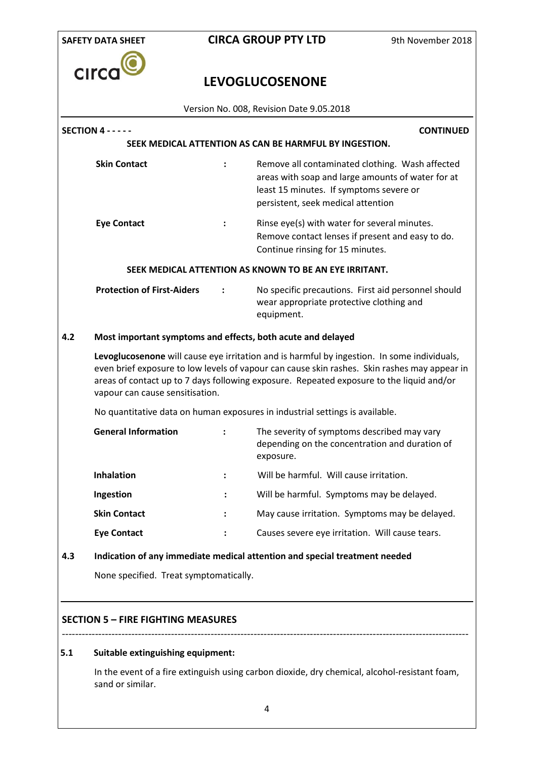

# **LEVOGLUCOSENONE**

Version No. 008, Revision Date 9.05.2018

| <b>Skin Contact</b><br><b>Eye Contact</b><br><b>Protection of First-Aiders</b>                                                                                                                                                                                                                                             |                                                                                                           | Remove all contaminated clothing. Wash affected<br>areas with soap and large amounts of water for at<br>least 15 minutes. If symptoms severe or<br>persistent, seek medical attention<br>Rinse eye(s) with water for several minutes.<br>Remove contact lenses if present and easy to do.<br>Continue rinsing for 15 minutes.<br>SEEK MEDICAL ATTENTION AS KNOWN TO BE AN EYE IRRITANT.<br>No specific precautions. First aid personnel should<br>wear appropriate protective clothing and<br>equipment.<br>Most important symptoms and effects, both acute and delayed |  |  |
|----------------------------------------------------------------------------------------------------------------------------------------------------------------------------------------------------------------------------------------------------------------------------------------------------------------------------|-----------------------------------------------------------------------------------------------------------|-------------------------------------------------------------------------------------------------------------------------------------------------------------------------------------------------------------------------------------------------------------------------------------------------------------------------------------------------------------------------------------------------------------------------------------------------------------------------------------------------------------------------------------------------------------------------|--|--|
|                                                                                                                                                                                                                                                                                                                            |                                                                                                           |                                                                                                                                                                                                                                                                                                                                                                                                                                                                                                                                                                         |  |  |
|                                                                                                                                                                                                                                                                                                                            |                                                                                                           |                                                                                                                                                                                                                                                                                                                                                                                                                                                                                                                                                                         |  |  |
|                                                                                                                                                                                                                                                                                                                            |                                                                                                           |                                                                                                                                                                                                                                                                                                                                                                                                                                                                                                                                                                         |  |  |
|                                                                                                                                                                                                                                                                                                                            |                                                                                                           |                                                                                                                                                                                                                                                                                                                                                                                                                                                                                                                                                                         |  |  |
|                                                                                                                                                                                                                                                                                                                            |                                                                                                           |                                                                                                                                                                                                                                                                                                                                                                                                                                                                                                                                                                         |  |  |
| Levoglucosenone will cause eye irritation and is harmful by ingestion. In some individuals,<br>even brief exposure to low levels of vapour can cause skin rashes. Skin rashes may appear in<br>areas of contact up to 7 days following exposure. Repeated exposure to the liquid and/or<br>vapour can cause sensitisation. |                                                                                                           |                                                                                                                                                                                                                                                                                                                                                                                                                                                                                                                                                                         |  |  |
|                                                                                                                                                                                                                                                                                                                            |                                                                                                           | No quantitative data on human exposures in industrial settings is available.                                                                                                                                                                                                                                                                                                                                                                                                                                                                                            |  |  |
|                                                                                                                                                                                                                                                                                                                            | $\ddot{\cdot}$                                                                                            | The severity of symptoms described may vary<br>depending on the concentration and duration of<br>exposure.                                                                                                                                                                                                                                                                                                                                                                                                                                                              |  |  |
|                                                                                                                                                                                                                                                                                                                            |                                                                                                           | Will be harmful. Will cause irritation.                                                                                                                                                                                                                                                                                                                                                                                                                                                                                                                                 |  |  |
|                                                                                                                                                                                                                                                                                                                            |                                                                                                           | Will be harmful. Symptoms may be delayed.                                                                                                                                                                                                                                                                                                                                                                                                                                                                                                                               |  |  |
|                                                                                                                                                                                                                                                                                                                            |                                                                                                           | May cause irritation. Symptoms may be delayed.                                                                                                                                                                                                                                                                                                                                                                                                                                                                                                                          |  |  |
|                                                                                                                                                                                                                                                                                                                            |                                                                                                           | Causes severe eye irritation. Will cause tears.                                                                                                                                                                                                                                                                                                                                                                                                                                                                                                                         |  |  |
|                                                                                                                                                                                                                                                                                                                            |                                                                                                           | Indication of any immediate medical attention and special treatment needed                                                                                                                                                                                                                                                                                                                                                                                                                                                                                              |  |  |
| None specified. Treat symptomatically.                                                                                                                                                                                                                                                                                     |                                                                                                           |                                                                                                                                                                                                                                                                                                                                                                                                                                                                                                                                                                         |  |  |
|                                                                                                                                                                                                                                                                                                                            | <b>General Information</b><br><b>Inhalation</b><br>Ingestion<br><b>Skin Contact</b><br><b>Eye Contact</b> |                                                                                                                                                                                                                                                                                                                                                                                                                                                                                                                                                                         |  |  |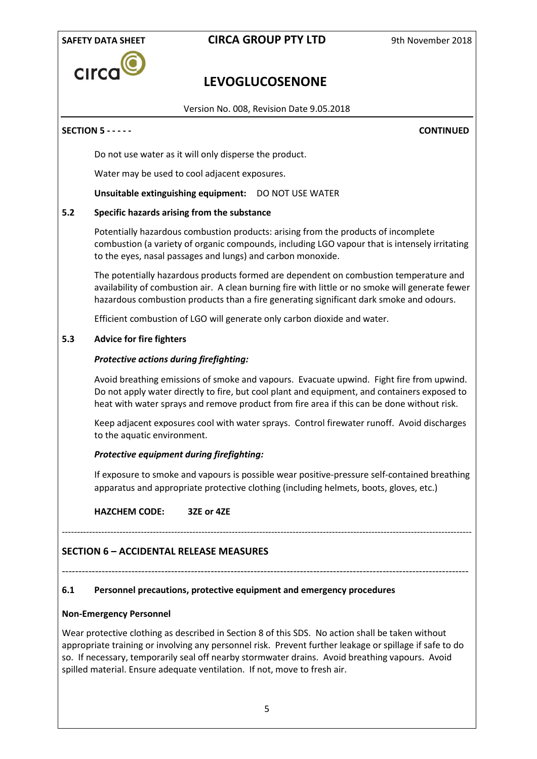

# **LEVOGLUCOSENONE**

Version No. 008, Revision Date 9.05.2018

#### **SECTION 5 - - - - - CONTINUED**

Do not use water as it will only disperse the product.

Water may be used to cool adjacent exposures.

**Unsuitable extinguishing equipment:** DO NOT USE WATER

#### **5.2 Specific hazards arising from the substance**

Potentially hazardous combustion products: arising from the products of incomplete combustion (a variety of organic compounds, including LGO vapour that is intensely irritating to the eyes, nasal passages and lungs) and carbon monoxide.

The potentially hazardous products formed are dependent on combustion temperature and availability of combustion air. A clean burning fire with little or no smoke will generate fewer hazardous combustion products than a fire generating significant dark smoke and odours.

Efficient combustion of LGO will generate only carbon dioxide and water.

#### **5.3 Advice for fire fighters**

#### *Protective actions during firefighting:*

Avoid breathing emissions of smoke and vapours. Evacuate upwind. Fight fire from upwind. Do not apply water directly to fire, but cool plant and equipment, and containers exposed to heat with water sprays and remove product from fire area if this can be done without risk.

Keep adjacent exposures cool with water sprays. Control firewater runoff. Avoid discharges to the aquatic environment.

#### *Protective equipment during firefighting:*

If exposure to smoke and vapours is possible wear positive-pressure self-contained breathing apparatus and appropriate protective clothing (including helmets, boots, gloves, etc.)

#### **HAZCHEM CODE: 3ZE or 4ZE**

## **SECTION 6 – ACCIDENTAL RELEASE MEASURES**

---------------------------------------------------------------------------------------------------------------------------

---------------------------------------------------------------------------------------------------------------------------------------

#### **6.1 Personnel precautions, protective equipment and emergency procedures**

#### **Non-Emergency Personnel**

Wear protective clothing as described in Section 8 of this SDS. No action shall be taken without appropriate training or involving any personnel risk. Prevent further leakage or spillage if safe to do so. If necessary, temporarily seal off nearby stormwater drains. Avoid breathing vapours. Avoid spilled material. Ensure adequate ventilation. If not, move to fresh air.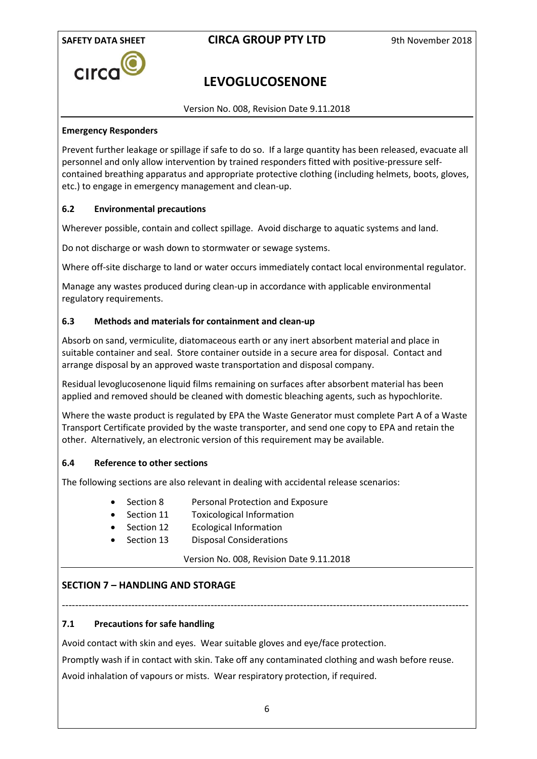

# **LEVOGLUCOSENONE**

Version No. 008, Revision Date 9.11.2018

## **Emergency Responders**

Prevent further leakage or spillage if safe to do so. If a large quantity has been released, evacuate all personnel and only allow intervention by trained responders fitted with positive-pressure selfcontained breathing apparatus and appropriate protective clothing (including helmets, boots, gloves, etc.) to engage in emergency management and clean-up.

## **6.2 Environmental precautions**

Wherever possible, contain and collect spillage. Avoid discharge to aquatic systems and land.

Do not discharge or wash down to stormwater or sewage systems.

Where off-site discharge to land or water occurs immediately contact local environmental regulator.

Manage any wastes produced during clean-up in accordance with applicable environmental regulatory requirements.

## **6.3 Methods and materials for containment and clean-up**

Absorb on sand, vermiculite, diatomaceous earth or any inert absorbent material and place in suitable container and seal. Store container outside in a secure area for disposal. Contact and arrange disposal by an approved waste transportation and disposal company.

Residual levoglucosenone liquid films remaining on surfaces after absorbent material has been applied and removed should be cleaned with domestic bleaching agents, such as hypochlorite.

Where the waste product is regulated by EPA the Waste Generator must complete Part A of a Waste Transport Certificate provided by the waste transporter, and send one copy to EPA and retain the other. Alternatively, an electronic version of this requirement may be available.

## **6.4 Reference to other sections**

The following sections are also relevant in dealing with accidental release scenarios:

- Section 8 Personal Protection and Exposure
- Section 11 Toxicological Information
- Section 12 Ecological Information
- Section 13 Disposal Considerations

## Version No. 008, Revision Date 9.11.2018

## **SECTION 7 – HANDLING AND STORAGE**

--------------------------------------------------------------------------------------------------------------------------- **7.1 Precautions for safe handling**

Avoid contact with skin and eyes. Wear suitable gloves and eye/face protection.

Promptly wash if in contact with skin. Take off any contaminated clothing and wash before reuse. Avoid inhalation of vapours or mists. Wear respiratory protection, if required.

6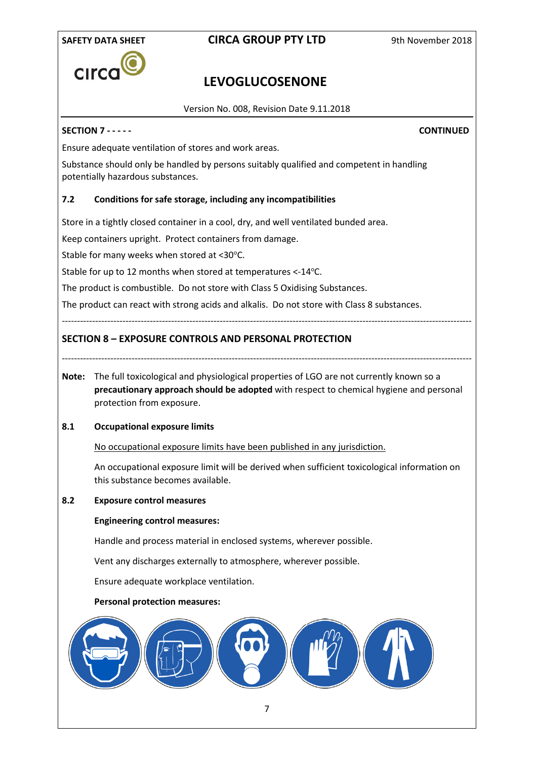

# **LEVOGLUCOSENONE**

Version No. 008, Revision Date 9.11.2018

## **SECTION 7 - - - - - CONTINUED**

Ensure adequate ventilation of stores and work areas.

Substance should only be handled by persons suitably qualified and competent in handling potentially hazardous substances.

## **7.2 Conditions for safe storage, including any incompatibilities**

Store in a tightly closed container in a cool, dry, and well ventilated bunded area.

Keep containers upright. Protect containers from damage.

Stable for many weeks when stored at <30°C.

Stable for up to 12 months when stored at temperatures <-14°C.

The product is combustible. Do not store with Class 5 Oxidising Substances.

The product can react with strong acids and alkalis. Do not store with Class 8 substances.

**SECTION 8 – EXPOSURE CONTROLS AND PERSONAL PROTECTION**

- ---------------------------------------------------------------------------------------------------------------------------------------
- **Note:** The full toxicological and physiological properties of LGO are not currently known so a **precautionary approach should be adopted** with respect to chemical hygiene and personal protection from exposure.

---------------------------------------------------------------------------------------------------------------------------------------

## **8.1 Occupational exposure limits**

No occupational exposure limits have been published in any jurisdiction.

An occupational exposure limit will be derived when sufficient toxicological information on this substance becomes available.

## **8.2 Exposure control measures**

#### **Engineering control measures:**

Handle and process material in enclosed systems, wherever possible.

Vent any discharges externally to atmosphere, wherever possible.

Ensure adequate workplace ventilation.

#### **Personal protection measures:**

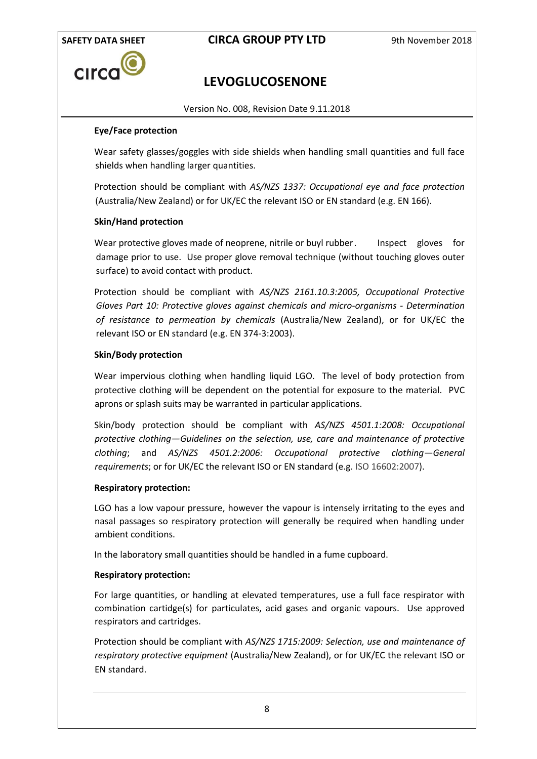

# **LEVOGLUCOSENONE**

Version No. 008, Revision Date 9.11.2018

## **Eye/Face protection**

Wear safety glasses/goggles with side shields when handling small quantities and full face shields when handling larger quantities.

Protection should be compliant with *AS/NZS 1337: Occupational eye and face protection* (Australia/New Zealand) or for UK/EC the relevant ISO or EN standard (e.g. EN 166).

## **Skin/Hand protection**

Wear protective gloves made of neoprene, nitrile or buyl rubber. Inspect gloves for damage prior to use. Use proper glove removal technique (without touching gloves outer surface) to avoid contact with product.

Protection should be compliant with *AS/NZS 2161.10.3:2005, Occupational Protective Gloves Part 10: Protective gloves against chemicals and micro-organisms - Determination of resistance to permeation by chemicals* (Australia/New Zealand), or for UK/EC the relevant ISO or EN standard (e.g. EN 374-3:2003).

### **Skin/Body protection**

Wear impervious clothing when handling liquid LGO. The level of body protection from protective clothing will be dependent on the potential for exposure to the material. PVC aprons or splash suits may be warranted in particular applications.

Skin/body protection should be compliant with *AS/NZS 4501.1:2008: Occupational protective clothing—Guidelines on the selection, use, care and maintenance of protective clothing*; and *AS/NZS 4501.2:2006: Occupational protective clothing—General requirements*; or for UK/EC the relevant ISO or EN standard (e.g. ISO 16602:2007).

#### **Respiratory protection:**

LGO has a low vapour pressure, however the vapour is intensely irritating to the eyes and nasal passages so respiratory protection will generally be required when handling under ambient conditions.

In the laboratory small quantities should be handled in a fume cupboard.

## **Respiratory protection:**

For large quantities, or handling at elevated temperatures, use a full face respirator with combination cartidge(s) for particulates, acid gases and organic vapours. Use approved respirators and cartridges.

Protection should be compliant with *AS/NZS 1715:2009: Selection, use and maintenance of respiratory protective equipment* (Australia/New Zealand), or for UK/EC the relevant ISO or EN standard.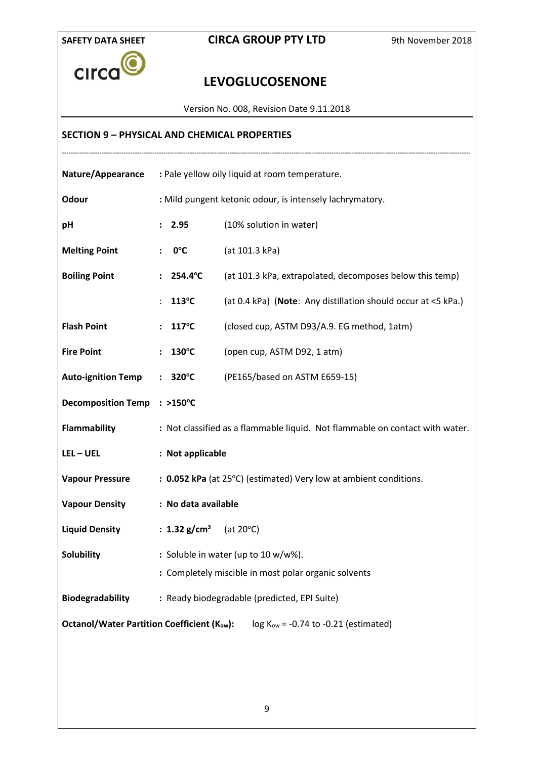

# **LEVOGLUCOSENONE**

Version No. 008, Revision Date 9.11.2018

## **SECTION 9 – PHYSICAL AND CHEMICAL PROPERTIES**

| <b>Nature/Appearance</b>                                                                    | : Pale yellow oily liquid at room temperature.                               |                                                               |  |  |
|---------------------------------------------------------------------------------------------|------------------------------------------------------------------------------|---------------------------------------------------------------|--|--|
| <b>Odour</b>                                                                                | : Mild pungent ketonic odour, is intensely lachrymatory.                     |                                                               |  |  |
| рH                                                                                          | : 2.95                                                                       | (10% solution in water)                                       |  |  |
| <b>Melting Point</b>                                                                        | $0^{\circ}$ C<br>$\ddot{\phantom{a}}$                                        | (at 101.3 kPa)                                                |  |  |
| <b>Boiling Point</b>                                                                        | 254.4°C<br>$\ddot{\phantom{a}}$                                              | (at 101.3 kPa, extrapolated, decomposes below this temp)      |  |  |
|                                                                                             | 113°C                                                                        | (at 0.4 kPa) (Note: Any distillation should occur at <5 kPa.) |  |  |
| <b>Flash Point</b>                                                                          | : $117^{\circ}C$                                                             | (closed cup, ASTM D93/A.9. EG method, 1atm)                   |  |  |
| <b>Fire Point</b>                                                                           | $130^{\circ}$ C                                                              | (open cup, ASTM D92, 1 atm)                                   |  |  |
| <b>Auto-ignition Temp</b>                                                                   | $: 320^{\circ}$ C<br>(PE165/based on ASTM E659-15)                           |                                                               |  |  |
| <b>Decomposition Temp</b>                                                                   | $: >150^{\circ}C$                                                            |                                                               |  |  |
| Flammability                                                                                | : Not classified as a flammable liquid. Not flammable on contact with water. |                                                               |  |  |
| $LEL - UEL$                                                                                 | : Not applicable                                                             |                                                               |  |  |
| <b>Vapour Pressure</b>                                                                      | : 0.052 kPa (at 25°C) (estimated) Very low at ambient conditions.            |                                                               |  |  |
| <b>Vapour Density</b>                                                                       | : No data available                                                          |                                                               |  |  |
| <b>Liquid Density</b>                                                                       | : 1.32 g/cm <sup>3</sup> (at 20°C)                                           |                                                               |  |  |
| Solubility                                                                                  | : Soluble in water (up to 10 $w/w$ %).                                       |                                                               |  |  |
|                                                                                             | : Completely miscible in most polar organic solvents                         |                                                               |  |  |
| Biodegradability                                                                            | : Ready biodegradable (predicted, EPI Suite)                                 |                                                               |  |  |
| <b>Octanol/Water Partition Coefficient (Kow):</b><br>$log Kow = -0.74$ to -0.21 (estimated) |                                                                              |                                                               |  |  |
|                                                                                             |                                                                              |                                                               |  |  |
|                                                                                             |                                                                              |                                                               |  |  |
|                                                                                             |                                                                              |                                                               |  |  |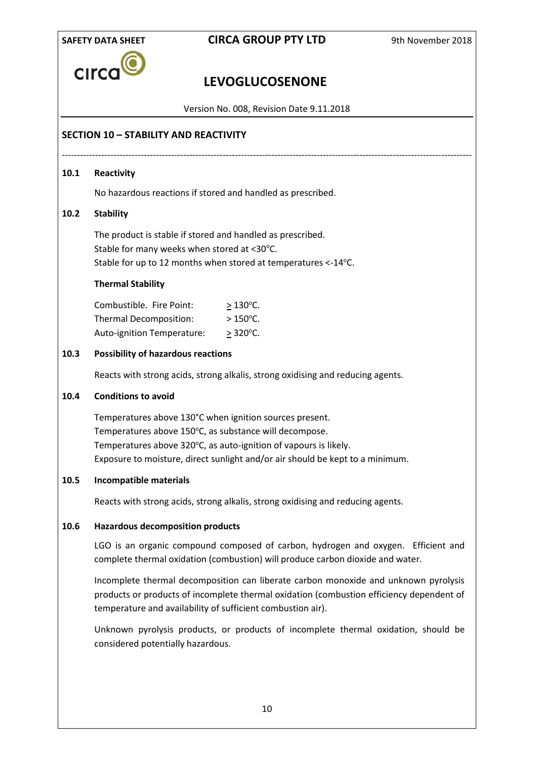

# **LEVOGLUCOSENONE**

Version No. 008, Revision Date 9.11.2018

---------------------------------------------------------------------------------------------------------------------------------------

## **SECTION 10 – STABILITY AND REACTIVITY**

## **10.1 Reactivity**

No hazardous reactions if stored and handled as prescribed.

## **10.2 Stability**

The product is stable if stored and handled as prescribed. Stable for many weeks when stored at <30°C. Stable for up to 12 months when stored at temperatures <-14°C.

## **Thermal Stability**

| Combustible. Fire Point:          | $>130^{\circ}$ C.  |
|-----------------------------------|--------------------|
| Thermal Decomposition:            | $>150^{\circ}$ C.  |
| <b>Auto-ignition Temperature:</b> | $> 320^{\circ}$ C. |

## **10.3 Possibility of hazardous reactions**

Reacts with strong acids, strong alkalis, strong oxidising and reducing agents.

## **10.4 Conditions to avoid**

Temperatures above 130°C when ignition sources present. Temperatures above 150°C, as substance will decompose. Temperatures above 320°C, as auto-ignition of vapours is likely. Exposure to moisture, direct sunlight and/or air should be kept to a minimum.

## **10.5 Incompatible materials**

Reacts with strong acids, strong alkalis, strong oxidising and reducing agents.

## **10.6 Hazardous decomposition products**

LGO is an organic compound composed of carbon, hydrogen and oxygen. Efficient and complete thermal oxidation (combustion) will produce carbon dioxide and water.

Incomplete thermal decomposition can liberate carbon monoxide and unknown pyrolysis products or products of incomplete thermal oxidation (combustion efficiency dependent of temperature and availability of sufficient combustion air).

Unknown pyrolysis products, or products of incomplete thermal oxidation, should be considered potentially hazardous.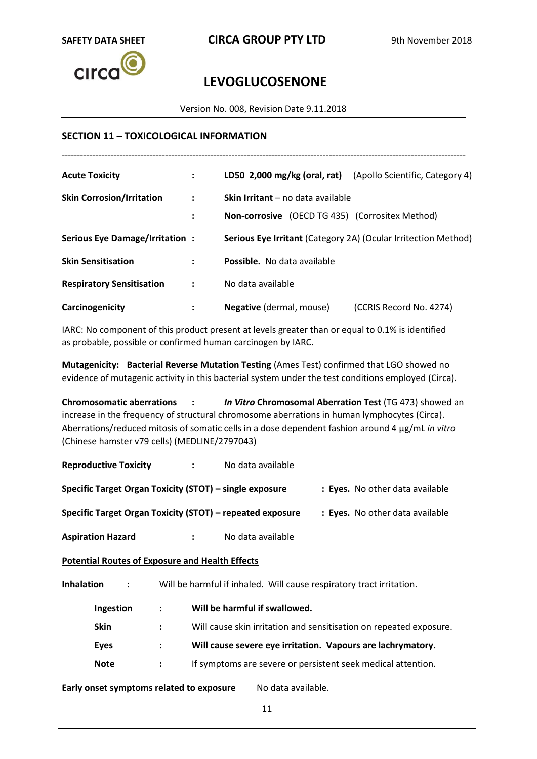

# **LEVOGLUCOSENONE**

Version No. 008, Revision Date 9.11.2018

## **SECTION 11 – TOXICOLOGICAL INFORMATION**

| <b>Acute Toxicity</b>                 | $\ddot{\cdot}$       | LD50 2,000 mg/kg (oral, rat) (Apollo Scientific, Category 4)          |                         |
|---------------------------------------|----------------------|-----------------------------------------------------------------------|-------------------------|
| <b>Skin Corrosion/Irritation</b>      | ÷                    | <b>Skin Irritant</b> – no data available                              |                         |
|                                       | $\ddot{\cdot}$       | Non-corrosive (OECD TG 435) (Corrositex Method)                       |                         |
| <b>Serious Eye Damage/Irritation:</b> |                      | <b>Serious Eye Irritant (Category 2A) (Ocular Irritection Method)</b> |                         |
| <b>Skin Sensitisation</b>             | $\ddot{\phantom{a}}$ | <b>Possible.</b> No data available                                    |                         |
| <b>Respiratory Sensitisation</b>      | $\sim$ :             | No data available                                                     |                         |
| Carcinogenicity                       |                      | <b>Negative</b> (dermal, mouse)                                       | (CCRIS Record No. 4274) |

IARC: No component of this product present at levels greater than or equal to 0.1% is identified as probable, possible or confirmed human carcinogen by IARC.

**Mutagenicity: Bacterial Reverse Mutation Testing** (Ames Test) confirmed that LGO showed no evidence of mutagenic activity in this bacterial system under the test conditions employed (Circa).

**Chromosomatic aberrations :** *In Vitro* **Chromosomal Aberration Test** (TG 473) showed an increase in the frequency of structural chromosome aberrations in human lymphocytes (Circa). Aberrations/reduced mitosis of somatic cells in a dose dependent fashion around 4 µg/mL *in vitro* (Chinese hamster v79 cells) (MEDLINE/2797043)

**Reproductive Toxicity :** No data available

| Specific Target Organ Toxicity (STOT) – single exposure | : Eyes. No other data available |
|---------------------------------------------------------|---------------------------------|
|---------------------------------------------------------|---------------------------------|

**Specific Target Organ Toxicity (STOT) – repeated exposure : Eyes.** No other data available

**Aspiration Hazard :** No data available

**Potential Routes of Exposure and Health Effects**

**Inhalation :** Will be harmful if inhaled. Will cause respiratory tract irritation.

**Ingestion : Will be harmful if swallowed.**

**Skin :** Will cause skin irritation and sensitisation on repeated exposure.

**Eyes : Will cause severe eye irritation. Vapours are lachrymatory.**

**Note :** If symptoms are severe or persistent seek medical attention.

**Early onset symptoms related to exposure** No data available.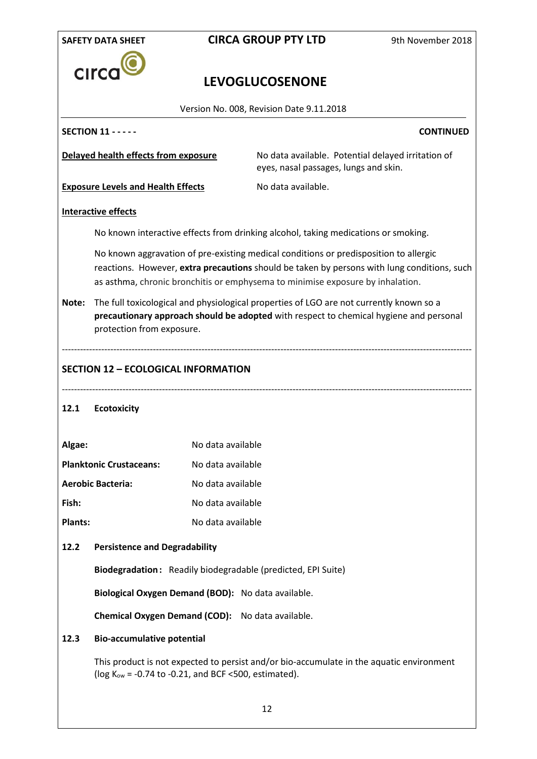|                | <b>SAFETY DATA SHEET</b>                                                                                                                                                                                       |                   | <b>CIRCA GROUP PTY LTD</b>                                                                                                                                                                                                                                             | 9th November 2018 |
|----------------|----------------------------------------------------------------------------------------------------------------------------------------------------------------------------------------------------------------|-------------------|------------------------------------------------------------------------------------------------------------------------------------------------------------------------------------------------------------------------------------------------------------------------|-------------------|
|                | CIrc                                                                                                                                                                                                           |                   |                                                                                                                                                                                                                                                                        |                   |
|                |                                                                                                                                                                                                                |                   | <b>LEVOGLUCOSENONE</b>                                                                                                                                                                                                                                                 |                   |
|                |                                                                                                                                                                                                                |                   | Version No. 008, Revision Date 9.11.2018                                                                                                                                                                                                                               |                   |
|                | <b>SECTION 11 - - - - -</b>                                                                                                                                                                                    |                   |                                                                                                                                                                                                                                                                        | <b>CONTINUED</b>  |
|                | Delayed health effects from exposure                                                                                                                                                                           |                   | No data available. Potential delayed irritation of<br>eyes, nasal passages, lungs and skin.                                                                                                                                                                            |                   |
|                | <b>Exposure Levels and Health Effects</b>                                                                                                                                                                      |                   | No data available.                                                                                                                                                                                                                                                     |                   |
|                | <b>Interactive effects</b>                                                                                                                                                                                     |                   |                                                                                                                                                                                                                                                                        |                   |
|                |                                                                                                                                                                                                                |                   | No known interactive effects from drinking alcohol, taking medications or smoking.                                                                                                                                                                                     |                   |
|                |                                                                                                                                                                                                                |                   | No known aggravation of pre-existing medical conditions or predisposition to allergic<br>reactions. However, extra precautions should be taken by persons with lung conditions, such<br>as asthma, chronic bronchitis or emphysema to minimise exposure by inhalation. |                   |
| Note:          | The full toxicological and physiological properties of LGO are not currently known so a<br>precautionary approach should be adopted with respect to chemical hygiene and personal<br>protection from exposure. |                   |                                                                                                                                                                                                                                                                        |                   |
| 12.1           | <b>Ecotoxicity</b>                                                                                                                                                                                             |                   |                                                                                                                                                                                                                                                                        |                   |
| Algae:         |                                                                                                                                                                                                                | No data available |                                                                                                                                                                                                                                                                        |                   |
|                | <b>Planktonic Crustaceans:</b>                                                                                                                                                                                 | No data available |                                                                                                                                                                                                                                                                        |                   |
|                | <b>Aerobic Bacteria:</b>                                                                                                                                                                                       | No data available |                                                                                                                                                                                                                                                                        |                   |
| Fish:          |                                                                                                                                                                                                                | No data available |                                                                                                                                                                                                                                                                        |                   |
| <b>Plants:</b> |                                                                                                                                                                                                                | No data available |                                                                                                                                                                                                                                                                        |                   |
| 12.2           | <b>Persistence and Degradability</b>                                                                                                                                                                           |                   |                                                                                                                                                                                                                                                                        |                   |
|                |                                                                                                                                                                                                                |                   | Biodegradation: Readily biodegradable (predicted, EPI Suite)                                                                                                                                                                                                           |                   |
|                | Biological Oxygen Demand (BOD): No data available.                                                                                                                                                             |                   |                                                                                                                                                                                                                                                                        |                   |
|                | Chemical Oxygen Demand (COD): No data available.                                                                                                                                                               |                   |                                                                                                                                                                                                                                                                        |                   |
| 12.3           | <b>Bio-accumulative potential</b>                                                                                                                                                                              |                   |                                                                                                                                                                                                                                                                        |                   |
|                | ( $log K_{ow}$ = -0.74 to -0.21, and BCF <500, estimated).                                                                                                                                                     |                   | This product is not expected to persist and/or bio-accumulate in the aquatic environment                                                                                                                                                                               |                   |
|                |                                                                                                                                                                                                                |                   | 12                                                                                                                                                                                                                                                                     |                   |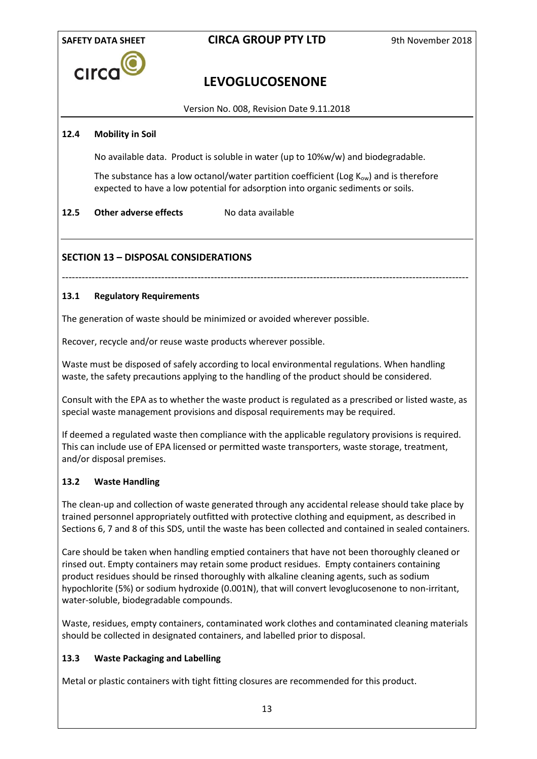

# **LEVOGLUCOSENONE**

Version No. 008, Revision Date 9.11.2018

## **12.4 Mobility in Soil**

No available data.Product is soluble in water (up to 10%w/w) and biodegradable.

The substance has a low octanol/water partition coefficient (Log  $K_{ow}$ ) and is therefore expected to have a low potential for adsorption into organic sediments or soils.

## **12.5 Other adverse effects** No data available

## **SECTION 13 – DISPOSAL CONSIDERATIONS**

---------------------------------------------------------------------------------------------------------------------------

## **13.1 Regulatory Requirements**

The generation of waste should be minimized or avoided wherever possible.

Recover, recycle and/or reuse waste products wherever possible.

Waste must be disposed of safely according to local environmental regulations. When handling waste, the safety precautions applying to the handling of the product should be considered.

Consult with the EPA as to whether the waste product is regulated as a prescribed or listed waste, as special waste management provisions and disposal requirements may be required.

If deemed a regulated waste then compliance with the applicable regulatory provisions is required. This can include use of EPA licensed or permitted waste transporters, waste storage, treatment, and/or disposal premises.

## **13.2 Waste Handling**

The clean-up and collection of waste generated through any accidental release should take place by trained personnel appropriately outfitted with protective clothing and equipment, as described in Sections 6, 7 and 8 of this SDS, until the waste has been collected and contained in sealed containers.

Care should be taken when handling emptied containers that have not been thoroughly cleaned or rinsed out. Empty containers may retain some product residues. Empty containers containing product residues should be rinsed thoroughly with alkaline cleaning agents, such as sodium hypochlorite (5%) or sodium hydroxide (0.001N), that will convert levoglucosenone to non-irritant, water-soluble, biodegradable compounds.

Waste, residues, empty containers, contaminated work clothes and contaminated cleaning materials should be collected in designated containers, and labelled prior to disposal.

## **13.3 Waste Packaging and Labelling**

Metal or plastic containers with tight fitting closures are recommended for this product.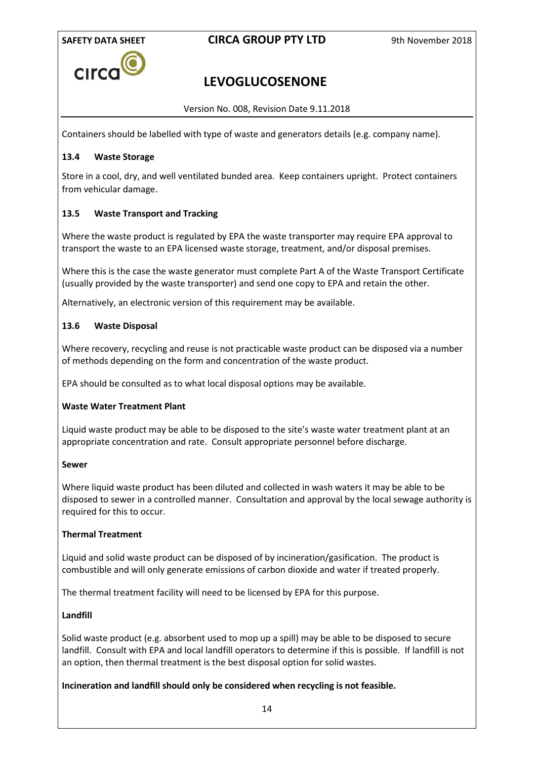

# **LEVOGLUCOSENONE**

Version No. 008, Revision Date 9.11.2018

Containers should be labelled with type of waste and generators details (e.g. company name).

## **13.4 Waste Storage**

Store in a cool, dry, and well ventilated bunded area. Keep containers upright. Protect containers from vehicular damage.

## **13.5 Waste Transport and Tracking**

Where the waste product is regulated by EPA the waste transporter may require EPA approval to transport the waste to an EPA licensed waste storage, treatment, and/or disposal premises.

Where this is the case the waste generator must complete Part A of the Waste Transport Certificate (usually provided by the waste transporter) and send one copy to EPA and retain the other.

Alternatively, an electronic version of this requirement may be available.

#### **13.6 Waste Disposal**

Where recovery, recycling and reuse is not practicable waste product can be disposed via a number of methods depending on the form and concentration of the waste product.

EPA should be consulted as to what local disposal options may be available.

## **Waste Water Treatment Plant**

Liquid waste product may be able to be disposed to the site's waste water treatment plant at an appropriate concentration and rate. Consult appropriate personnel before discharge.

#### **Sewer**

Where liquid waste product has been diluted and collected in wash waters it may be able to be disposed to sewer in a controlled manner. Consultation and approval by the local sewage authority is required for this to occur.

#### **Thermal Treatment**

Liquid and solid waste product can be disposed of by incineration/gasification. The product is combustible and will only generate emissions of carbon dioxide and water if treated properly.

The thermal treatment facility will need to be licensed by EPA for this purpose.

#### **Landfill**

Solid waste product (e.g. absorbent used to mop up a spill) may be able to be disposed to secure landfill. Consult with EPA and local landfill operators to determine if this is possible. If landfill is not an option, then thermal treatment is the best disposal option for solid wastes.

#### **Incineration and landfill should only be considered when recycling is not feasible.**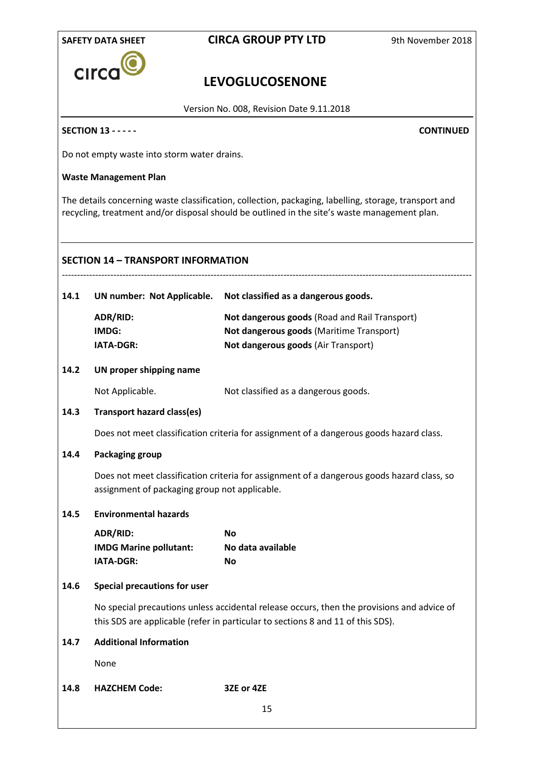

# **LEVOGLUCOSENONE**

Version No. 008, Revision Date 9.11.2018

## **SECTION 13 - - - - - CONTINUED**

Do not empty waste into storm water drains.

## **Waste Management Plan**

The details concerning waste classification, collection, packaging, labelling, storage, transport and recycling, treatment and/or disposal should be outlined in the site's waste management plan.

### **SECTION 14 – TRANSPORT INFORMATION**

| 14.1 | UN number: Not Applicable. | Not classified as a dangerous goods.          |
|------|----------------------------|-----------------------------------------------|
|      | ADR/RID:                   | Not dangerous goods (Road and Rail Transport) |
|      | IMDG:                      | Not dangerous goods (Maritime Transport)      |
|      | <b>IATA-DGR:</b>           | Not dangerous goods (Air Transport)           |
|      |                            |                                               |

### **14.2 UN proper shipping name**

Not Applicable. Not classified as a dangerous goods.

#### **14.3 Transport hazard class(es)**

Does not meet classification criteria for assignment of a dangerous goods hazard class.

#### **14.4 Packaging group**

Does not meet classification criteria for assignment of a dangerous goods hazard class, so assignment of packaging group not applicable.

## **14.5 Environmental hazards**

| ADR/RID:                      | Nο                |
|-------------------------------|-------------------|
| <b>IMDG Marine pollutant:</b> | No data available |
| <b>IATA-DGR:</b>              | Nο                |

#### **14.6 Special precautions for user**

No special precautions unless accidental release occurs, then the provisions and advice of this SDS are applicable (refer in particular to sections 8 and 11 of this SDS).

## **14.7 Additional Information**

None

## **14.8 HAZCHEM Code: 3ZE or 4ZE**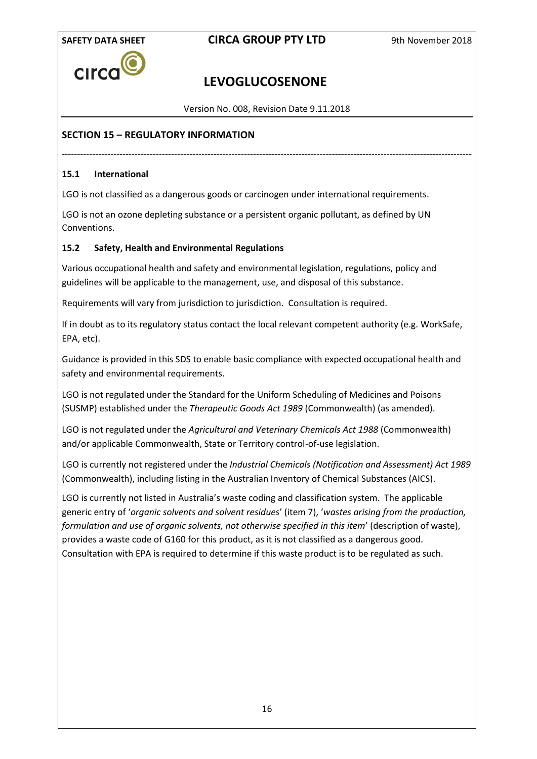

# **LEVOGLUCOSENONE**

Version No. 008, Revision Date 9.11.2018

---------------------------------------------------------------------------------------------------------------------------------------

## **SECTION 15 – REGULATORY INFORMATION**

## **15.1 International**

LGO is not classified as a dangerous goods or carcinogen under international requirements.

LGO is not an ozone depleting substance or a persistent organic pollutant, as defined by UN Conventions.

## **15.2 Safety, Health and Environmental Regulations**

Various occupational health and safety and environmental legislation, regulations, policy and guidelines will be applicable to the management, use, and disposal of this substance.

Requirements will vary from jurisdiction to jurisdiction. Consultation is required.

If in doubt as to its regulatory status contact the local relevant competent authority (e.g. WorkSafe, EPA, etc).

Guidance is provided in this SDS to enable basic compliance with expected occupational health and safety and environmental requirements.

LGO is not regulated under the Standard for the Uniform Scheduling of Medicines and Poisons (SUSMP) established under the *Therapeutic Goods Act 1989* (Commonwealth) (as amended).

LGO is not regulated under the *Agricultural and Veterinary Chemicals Act 1988* (Commonwealth) and/or applicable Commonwealth, State or Territory control-of-use legislation.

LGO is currently not registered under the *Industrial Chemicals (Notification and Assessment) Act 1989*  (Commonwealth), including listing in the Australian Inventory of Chemical Substances (AICS).

LGO is currently not listed in Australia's waste coding and classification system. The applicable generic entry of '*organic solvents and solvent residues*' (item 7), '*wastes arising from the production, formulation and use of organic solvents, not otherwise specified in this item*' (description of waste), provides a waste code of G160 for this product, as it is not classified as a dangerous good. Consultation with EPA is required to determine if this waste product is to be regulated as such.